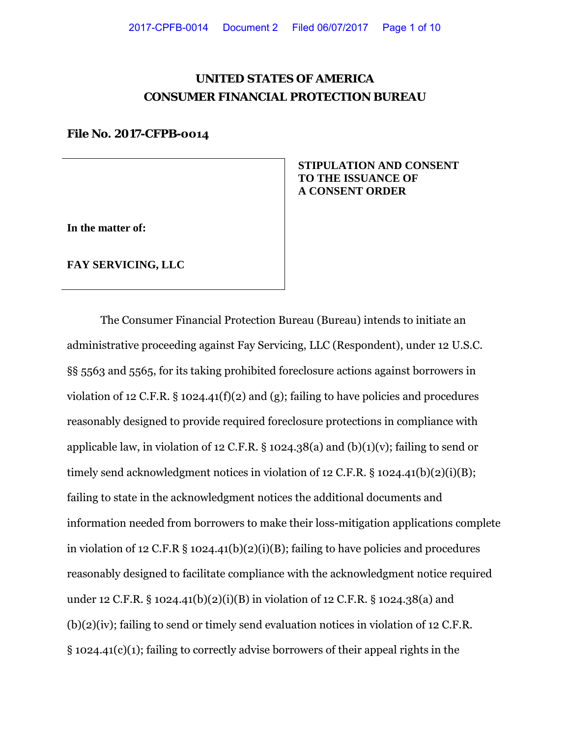# **UNITED STATES OF AMERICA CONSUMER FINANCIAL PROTECTION BUREAU**

## **File No. 2017-CFPB-0014**

**In the matter of:**

**FAY SERVICING, LLC**

 **STIPULATION AND CONSENT TO THE ISSUANCE OF A CONSENT ORDER**

The Consumer Financial Protection Bureau (Bureau) intends to initiate an administrative proceeding against Fay Servicing, LLC (Respondent), under 12 U.S.C. §§ 5563 and 5565, for its taking prohibited foreclosure actions against borrowers in violation of 12 C.F.R. § 1024.41(f)(2) and (g); failing to have policies and procedures reasonably designed to provide required foreclosure protections in compliance with applicable law, in violation of 12 C.F.R. § 1024.38(a) and (b)(1)(v); failing to send or timely send acknowledgment notices in violation of 12 C.F.R. § 1024.41(b)(2)(i)(B); failing to state in the acknowledgment notices the additional documents and information needed from borrowers to make their loss-mitigation applications complete in violation of 12 C.F.R § 1024.41(b)(2)(i)(B); failing to have policies and procedures reasonably designed to facilitate compliance with the acknowledgment notice required under 12 C.F.R. § 1024.41(b)(2)(i)(B) in violation of 12 C.F.R. § 1024.38(a) and (b)(2)(iv); failing to send or timely send evaluation notices in violation of 12 C.F.R. § 1024.41(c)(1); failing to correctly advise borrowers of their appeal rights in the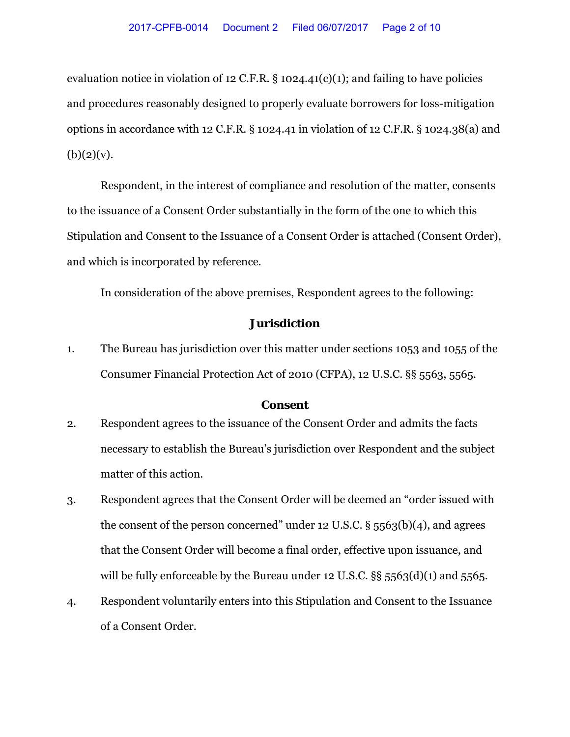evaluation notice in violation of 12 C.F.R.  $\S$  1024.41(c)(1); and failing to have policies and procedures reasonably designed to properly evaluate borrowers for loss-mitigation options in accordance with 12 C.F.R. § 1024.41 in violation of 12 C.F.R. § 1024.38(a) and  $(b)(2)(v)$ .

Respondent, in the interest of compliance and resolution of the matter, consents to the issuance of a Consent Order substantially in the form of the one to which this Stipulation and Consent to the Issuance of a Consent Order is attached (Consent Order), and which is incorporated by reference.

In consideration of the above premises, Respondent agrees to the following:

# **Jurisdiction**

1. The Bureau has jurisdiction over this matter under sections 1053 and 1055 of the Consumer Financial Protection Act of 2010 (CFPA), 12 U.S.C. §§ 5563, 5565.

#### **Consent**

- 2. Respondent agrees to the issuance of the Consent Order and admits the facts necessary to establish the Bureau's jurisdiction over Respondent and the subject matter of this action.
- 3. Respondent agrees that the Consent Order will be deemed an "order issued with the consent of the person concerned" under 12 U.S.C.  $\S$  5563(b)(4), and agrees that the Consent Order will become a final order, effective upon issuance, and will be fully enforceable by the Bureau under 12 U.S.C.  $\S$ § 5563(d)(1) and 5565.
- 4. Respondent voluntarily enters into this Stipulation and Consent to the Issuance of a Consent Order.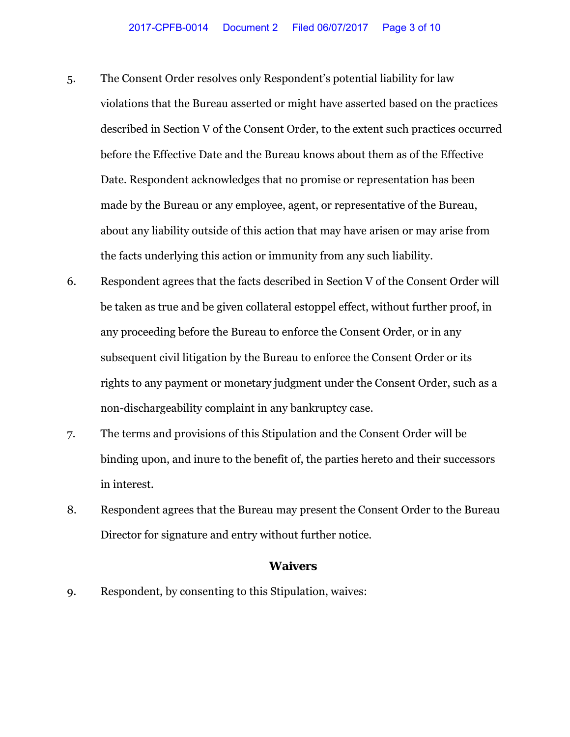- 5. The Consent Order resolves only Respondent's potential liability for law violations that the Bureau asserted or might have asserted based on the practices described in Section V of the Consent Order, to the extent such practices occurred before the Effective Date and the Bureau knows about them as of the Effective Date. Respondent acknowledges that no promise or representation has been made by the Bureau or any employee, agent, or representative of the Bureau, about any liability outside of this action that may have arisen or may arise from the facts underlying this action or immunity from any such liability.
- 6. Respondent agrees that the facts described in Section V of the Consent Order will be taken as true and be given collateral estoppel effect, without further proof, in any proceeding before the Bureau to enforce the Consent Order, or in any subsequent civil litigation by the Bureau to enforce the Consent Order or its rights to any payment or monetary judgment under the Consent Order, such as a non-dischargeability complaint in any bankruptcy case.
- 7. The terms and provisions of this Stipulation and the Consent Order will be binding upon, and inure to the benefit of, the parties hereto and their successors in interest.
- 8. Respondent agrees that the Bureau may present the Consent Order to the Bureau Director for signature and entry without further notice.

### **Waivers**

9. Respondent, by consenting to this Stipulation, waives: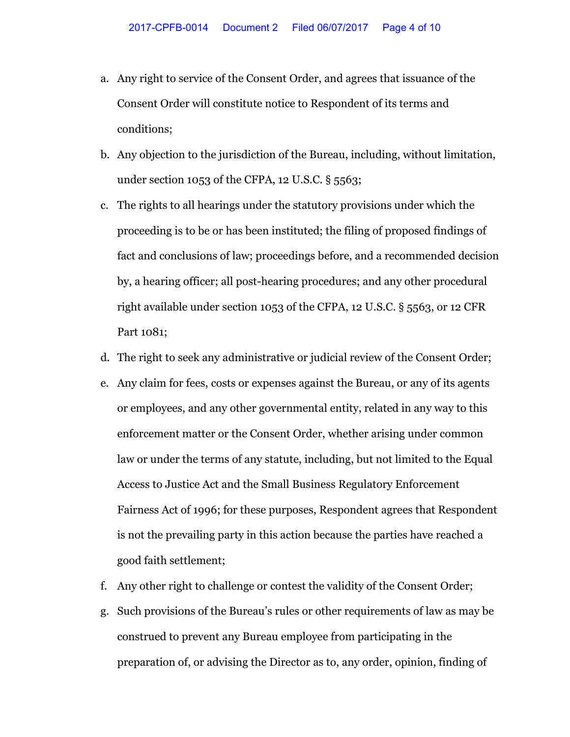- a. Any right to service of the Consent Order, and agrees that issuance of the Consent Order will constitute notice to Respondent of its terms and conditions;
- b. Any objection to the jurisdiction of the Bureau, including, without limitation, under section 1053 of the CFPA, 12 U.S.C. § 5563;
- c. The rights to all hearings under the statutory provisions under which the proceeding is to be or has been instituted; the filing of proposed findings of fact and conclusions of law; proceedings before, and a recommended decision by, a hearing officer; all post-hearing procedures; and any other procedural right available under section 1053 of the CFPA, 12 U.S.C. § 5563, or 12 CFR Part 1081;
- d. The right to seek any administrative or judicial review of the Consent Order;
- e. Any claim for fees, costs or expenses against the Bureau, or any of its agents or employees, and any other governmental entity, related in any way to this enforcement matter or the Consent Order, whether arising under common law or under the terms of any statute, including, but not limited to the Equal Access to Justice Act and the Small Business Regulatory Enforcement Fairness Act of 1996; for these purposes, Respondent agrees that Respondent is not the prevailing party in this action because the parties have reached a good faith settlement;
- f. Any other right to challenge or contest the validity of the Consent Order;
- g. Such provisions of the Bureau's rules or other requirements of law as may be construed to prevent any Bureau employee from participating in the preparation of, or advising the Director as to, any order, opinion, finding of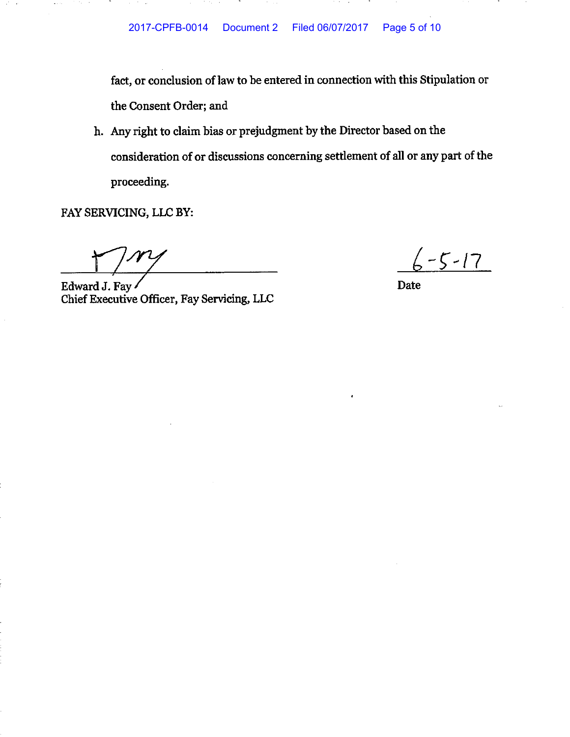fact, or conclusion of law to be entered in connection with this Stipulation or the Consent Order; and

h. Any right to claim bias or prejudgment by the Director based on the consideration of or discussions concerning settlement of all or any part of the proceeding.

FAY SERVICING, LLC BY:

**Contract** 

and the se-

**Contact Art** 

 $\mathcal{L}$ 

Edward J. Fay Chief Executive Officer, Fay Servicing, LLC

 $\frac{7}{2}-5-17$ 

**Date**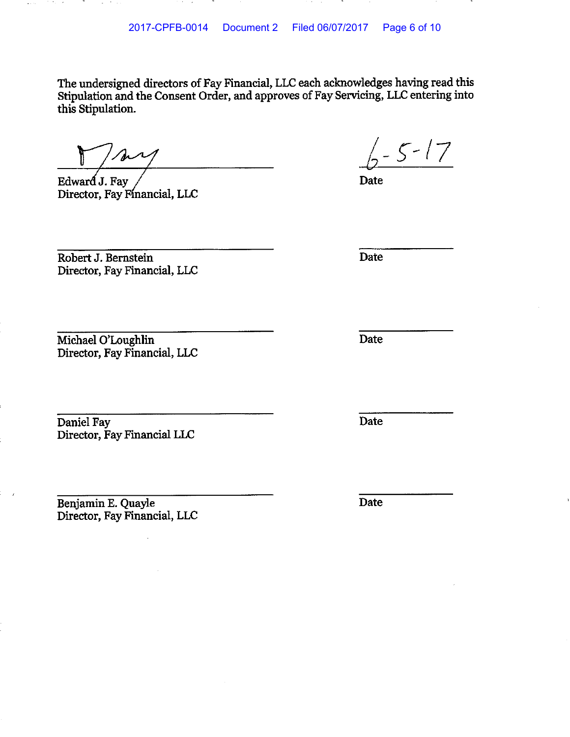The undersigned directors of Fay Financial, LLC each acknowledges having read this Stipulation and the Consent Order, and approves of Fay Servicing, LLC entering into this Stipulation.

Edward J. Fay Director, Fay Financial, LLC

 $\sqrt{2-5-17}$ 

Date

Robert J. Bernstein Director, Fay Financial, LLC

Michael O'Loughlin Director, Fay Financial, LLC

Daniel Fay Director, Fay Financial LLC

Benjamin E. Quayle Director, Fay Financial, LLC

Date

Date

Date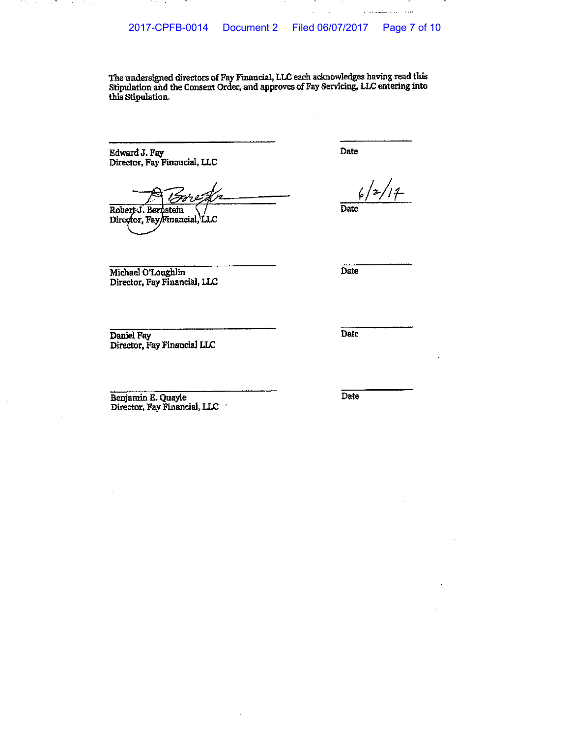The undersigned directors of Fay Financial, LLC each acknowledges having read this Stipulation and the Consent Order, and approves of Fay Servicing, LLC entering into this Stipulation.

Edward J. Fay Director, Fay Financial, LLC

 $\mathcal{C}_\mathbf{a} = \mathcal{A}$ 

 $\mathcal{L}$ 

Robert J. Bernstein Director, Fay/Financial, LLC

Date

 $111$ 

 $\sim$  .  $\sim$ 

Date

Michael O'Loughlin Director, Fay Financial, LLC  $\overline{Date}$ 

Daniel Fay Director, Fay Financial LLC

Date

Benjamin E. Quayle Director, Fay Financial, LLC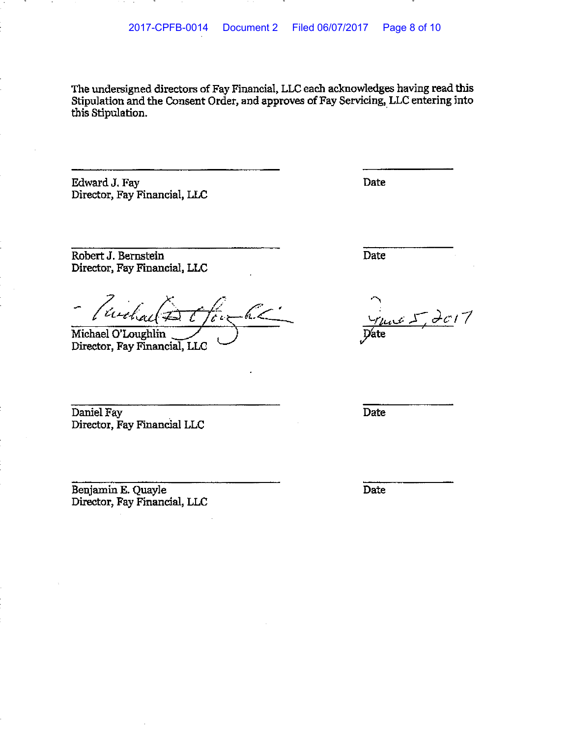The undersigned directors of Fay Financial, LLC each acknowledges having read this Stipulation and the Consent Order, and approves of Fay Servicing, LLC entering into this Stipulation.

Edward J. Fay Director, Fay Financial, LLC **Date** 

Robert J. Bernstein Director, Fay Financial, LLC

ruch

Michael O'Loughlin Director, Fay Financial, LLC

Daniel Fay Director, Fay Financial LLC

Benjamin E. Quayle Director, Fay Financial, LLC Date

 $veL$  de17

Date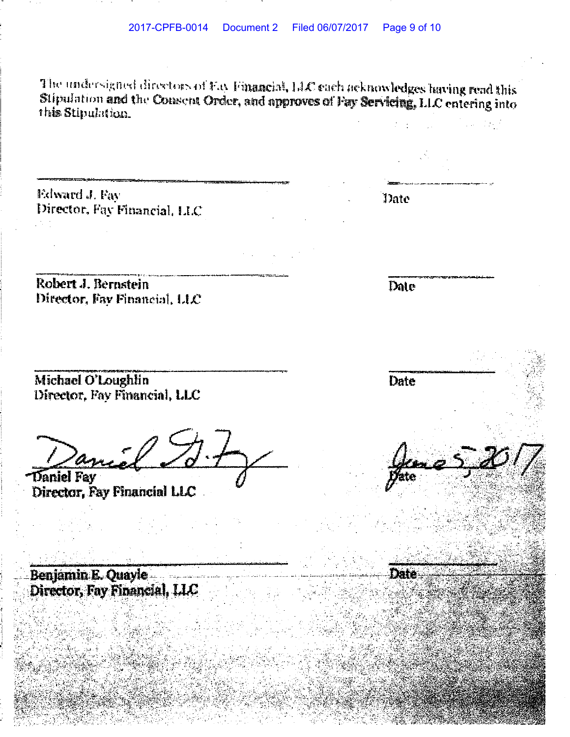The undersigned directors of Fay Financial, LLC cach acknowledges having read this Stipulation and the Consent Order, and approves of Fay Servicing, LLC entering into this Stipulation.

Edward J. Fay Director, Fay Financial, LLC

Robert J. Bernstein Director, Fav Financial, LIC

Michael O'Loughlin Director, Fay Financial, LLC

Daniel Fay

Director, Fay Financial LLC

Benjamin E. Quayle Director, Fay Financial, LLC

Date

Date